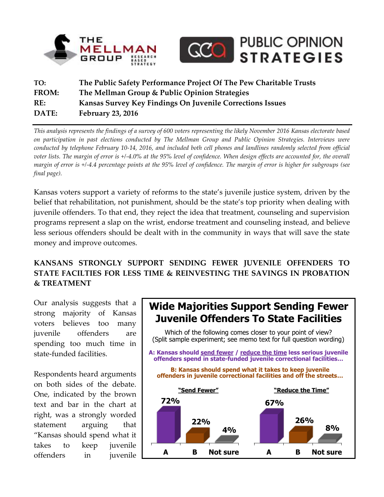



# **TO: The Public Safety Performance Project Of The Pew Charitable Trusts FROM: The Mellman Group & Public Opinion Strategies RE: Kansas Survey Key Findings On Juvenile Corrections Issues DATE: February 23, 2016**

*This analysis represents the findings of a survey of 600 voters representing the likely November 2016 Kansas electorate based on participation in past elections conducted by The Mellman Group and Public Opinion Strategies. Interviews were conducted by telephone February 10-14, 2016, and included both cell phones and landlines randomly selected from official voter lists. The margin of error is +/-4.0% at the 95% level of confidence. When design effects are accounted for, the overall margin of error is +/-4.4 percentage points at the 95% level of confidence. The margin of error is higher for subgroups (see final page).*

Kansas voters support a variety of reforms to the state's juvenile justice system, driven by the belief that rehabilitation, not punishment, should be the state's top priority when dealing with juvenile offenders. To that end, they reject the idea that treatment, counseling and supervision programs represent a slap on the wrist, endorse treatment and counseling instead, and believe less serious offenders should be dealt with in the community in ways that will save the state money and improve outcomes.

## **KANSANS STRONGLY SUPPORT SENDING FEWER JUVENILE OFFENDERS TO STATE FACILTIES FOR LESS TIME & REINVESTING THE SAVINGS IN PROBATION & TREATMENT**

Our analysis suggests that a strong majority of Kansas voters believes too many juvenile offenders are spending too much time in state-funded facilities.

Respondents heard arguments on both sides of the debate. One, indicated by the brown text and bar in the chart at right, was a strongly worded statement arguing that "Kansas should spend what it takes to keep juvenile offenders in juvenile



**A B Not sure 67% 26% 8% A B Not sure 72% 22% 4% A: Kansas should send fewer / reduce the time less serious juvenile offenders spend in state-funded juvenile correctional facilities…** Which of the following comes closer to your point of view? (Split sample experiment; see memo text for full question wording) **B: Kansas should spend what it takes to keep juvenile offenders in juvenile correctional facilities and off the streets… "Send Fewer" "Reduce the Time"**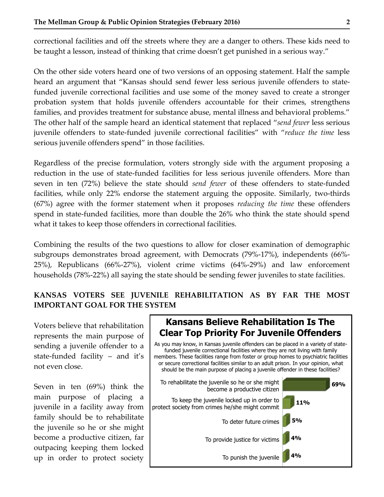correctional facilities and off the streets where they are a danger to others. These kids need to be taught a lesson, instead of thinking that crime doesn't get punished in a serious way."

On the other side voters heard one of two versions of an opposing statement. Half the sample heard an argument that "Kansas should send fewer less serious juvenile offenders to statefunded juvenile correctional facilities and use some of the money saved to create a stronger probation system that holds juvenile offenders accountable for their crimes, strengthens families, and provides treatment for substance abuse, mental illness and behavioral problems." The other half of the sample heard an identical statement that replaced "*send fewer* less serious juvenile offenders to state-funded juvenile correctional facilities" with "*reduce the time* less serious juvenile offenders spend" in those facilities.

Regardless of the precise formulation, voters strongly side with the argument proposing a reduction in the use of state-funded facilities for less serious juvenile offenders. More than seven in ten (72%) believe the state should *send fewer* of these offenders to state-funded facilities, while only 22% endorse the statement arguing the opposite. Similarly, two-thirds (67%) agree with the former statement when it proposes *reducing the time* these offenders spend in state-funded facilities, more than double the 26% who think the state should spend what it takes to keep those offenders in correctional facilities.

Combining the results of the two questions to allow for closer examination of demographic subgroups demonstrates broad agreement, with Democrats (79%-17%), independents (66%- 25%), Republicans (66%-27%), violent crime victims (64%-29%) and law enforcement households (78%-22%) all saying the state should be sending fewer juveniles to state facilities.

### **KANSAS VOTERS SEE JUVENILE REHABILITATION AS BY FAR THE MOST IMPORTANT GOAL FOR THE SYSTEM**

Voters believe that rehabilitation represents the main purpose of sending a juvenile offender to a state-funded facility – and it's not even close.

Seven in ten (69%) think the main purpose of placing a juvenile in a facility away from family should be to rehabilitate the juvenile so he or she might become a productive citizen, far outpacing keeping them locked up in order to protect society

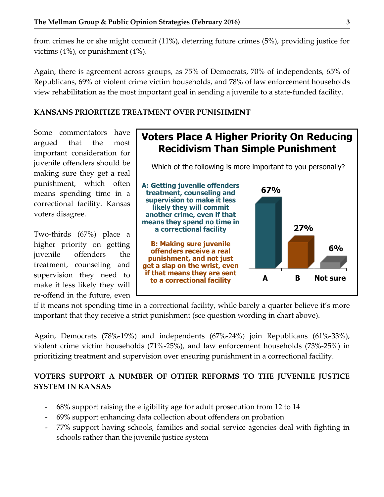from crimes he or she might commit (11%), deterring future crimes (5%), providing justice for victims (4%), or punishment (4%).

Again, there is agreement across groups, as 75% of Democrats, 70% of independents, 65% of Republicans, 69% of violent crime victim households, and 78% of law enforcement households view rehabilitation as the most important goal in sending a juvenile to a state-funded facility.

#### **KANSANS PRIORITIZE TREATMENT OVER PUNISHMENT**

Some commentators have argued that the most important consideration for juvenile offenders should be making sure they get a real punishment, which often means spending time in a correctional facility. Kansas voters disagree.

Two-thirds (67%) place a higher priority on getting juvenile offenders the treatment, counseling and supervision they need to make it less likely they will re-offend in the future, even



if it means not spending time in a correctional facility, while barely a quarter believe it's more important that they receive a strict punishment (see question wording in chart above).

Again, Democrats (78%-19%) and independents (67%-24%) join Republicans (61%-33%), violent crime victim households (71%-25%), and law enforcement households (73%-25%) in prioritizing treatment and supervision over ensuring punishment in a correctional facility.

### **VOTERS SUPPORT A NUMBER OF OTHER REFORMS TO THE JUVENILE JUSTICE SYSTEM IN KANSAS**

- 68% support raising the eligibility age for adult prosecution from 12 to 14
- 69% support enhancing data collection about offenders on probation
- 77% support having schools, families and social service agencies deal with fighting in schools rather than the juvenile justice system